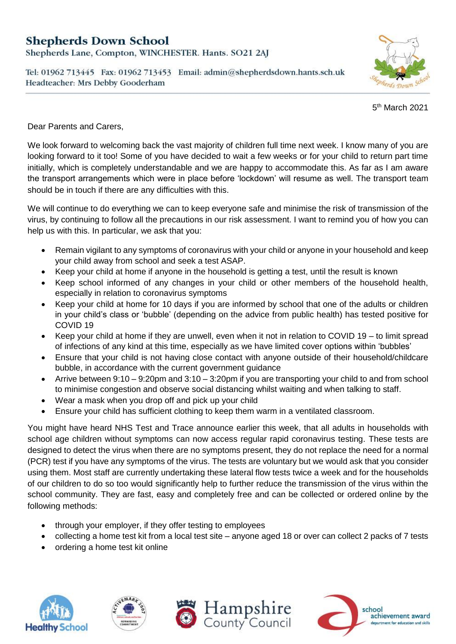## **Shepherds Down School**

Shepherds Lane, Compton, WINCHESTER. Hants. SO21 2AJ

Tel: 01962 713445 Fax: 01962 713453 Email: admin@shepherdsdown.hants.sch.uk Headteacher: Mrs Debby Gooderham



5 th March 2021

Dear Parents and Carers,

We look forward to welcoming back the vast majority of children full time next week. I know many of you are looking forward to it too! Some of you have decided to wait a few weeks or for your child to return part time initially, which is completely understandable and we are happy to accommodate this. As far as I am aware the transport arrangements which were in place before 'lockdown' will resume as well. The transport team should be in touch if there are any difficulties with this.

We will continue to do everything we can to keep everyone safe and minimise the risk of transmission of the virus, by continuing to follow all the precautions in our risk assessment. I want to remind you of how you can help us with this. In particular, we ask that you:

- Remain vigilant to any symptoms of coronavirus with your child or anyone in your household and keep your child away from school and seek a test ASAP.
- Keep your child at home if anyone in the household is getting a test, until the result is known
- Keep school informed of any changes in your child or other members of the household health, especially in relation to coronavirus symptoms
- Keep your child at home for 10 days if you are informed by school that one of the adults or children in your child's class or 'bubble' (depending on the advice from public health) has tested positive for COVID 19
- Keep your child at home if they are unwell, even when it not in relation to COVID 19 to limit spread of infections of any kind at this time, especially as we have limited cover options within 'bubbles'
- Ensure that your child is not having close contact with anyone outside of their household/childcare bubble, in accordance with the current government guidance
- Arrive between 9:10 9:20pm and 3:10 3:20pm if you are transporting your child to and from school to minimise congestion and observe social distancing whilst waiting and when talking to staff.
- Wear a mask when you drop off and pick up your child
- Ensure your child has sufficient clothing to keep them warm in a ventilated classroom.

You might have heard NHS Test and Trace announce earlier this week, that all adults in households with school age children without symptoms can now access regular rapid coronavirus testing. These tests are designed to detect the virus when there are no symptoms present, they do not replace the need for a normal (PCR) test if you have any symptoms of the virus. The tests are voluntary but we would ask that you consider using them. Most staff are currently undertaking these lateral flow tests twice a week and for the households of our children to do so too would significantly help to further reduce the transmission of the virus within the school community. They are fast, easy and completely free and can be collected or ordered online by the following methods:

- through your employer, if they offer testing to employees
- collecting a home test kit from a local test site anyone aged 18 or over can collect 2 packs of 7 tests
- ordering a home test kit online